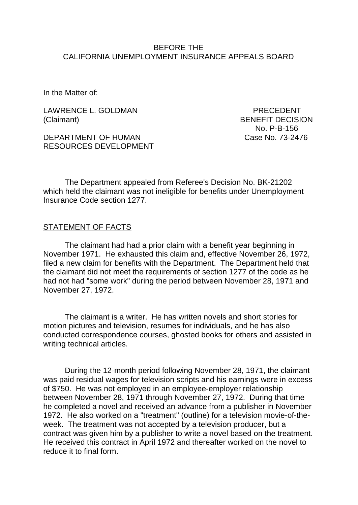#### BEFORE THE CALIFORNIA UNEMPLOYMENT INSURANCE APPEALS BOARD

In the Matter of:

LAWRENCE L. GOLDMAN PRECEDENT (Claimant) BENEFIT DECISION

DEPARTMENT OF HUMAN Case No. 73-2476 RESOURCES DEVELOPMENT

No. P-B-156

The Department appealed from Referee's Decision No. BK-21202 which held the claimant was not ineligible for benefits under Unemployment Insurance Code section 1277.

#### STATEMENT OF FACTS

The claimant had had a prior claim with a benefit year beginning in November 1971. He exhausted this claim and, effective November 26, 1972, filed a new claim for benefits with the Department. The Department held that the claimant did not meet the requirements of section 1277 of the code as he had not had "some work" during the period between November 28, 1971 and November 27, 1972.

The claimant is a writer. He has written novels and short stories for motion pictures and television, resumes for individuals, and he has also conducted correspondence courses, ghosted books for others and assisted in writing technical articles.

During the 12-month period following November 28, 1971, the claimant was paid residual wages for television scripts and his earnings were in excess of \$750. He was not employed in an employee-employer relationship between November 28, 1971 through November 27, 1972. During that time he completed a novel and received an advance from a publisher in November 1972. He also worked on a "treatment" (outline) for a television movie-of-theweek. The treatment was not accepted by a television producer, but a contract was given him by a publisher to write a novel based on the treatment. He received this contract in April 1972 and thereafter worked on the novel to reduce it to final form.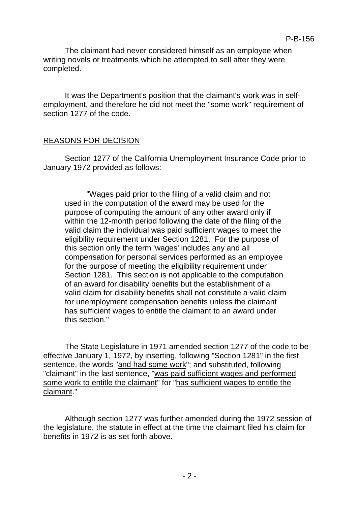The claimant had never considered himself as an employee when writing novels or treatments which he attempted to sell after they were completed.

It was the Department's position that the claimant's work was in selfemployment, and therefore he did not meet the "some work" requirement of section 1277 of the code.

## REASONS FOR DECISION

Section 1277 of the California Unemployment Insurance Code prior to January 1972 provided as follows:

"Wages paid prior to the filing of a valid claim and not used in the computation of the award may be used for the purpose of computing the amount of any other award only if within the 12-month period following the date of the filing of the valid claim the individual was paid sufficient wages to meet the eligibility requirement under Section 1281. For the purpose of this section only the term 'wages' includes any and all compensation for personal services performed as an employee for the purpose of meeting the eligibility requirement under Section 1281. This section is not applicable to the computation of an award for disability benefits but the establishment of a valid claim for disability benefits shall not constitute a valid claim for unemployment compensation benefits unless the claimant has sufficient wages to entitle the claimant to an award under this section."

The State Legislature in 1971 amended section 1277 of the code to be effective January 1, 1972, by inserting, following "Section 1281" in the first sentence, the words "and had some work"; and substituted, following "claimant" in the last sentence, "was paid sufficient wages and performed some work to entitle the claimant" for "has sufficient wages to entitle the claimant."

Although section 1277 was further amended during the 1972 session of the legislature, the statute in effect at the time the claimant filed his claim for benefits in 1972 is as set forth above.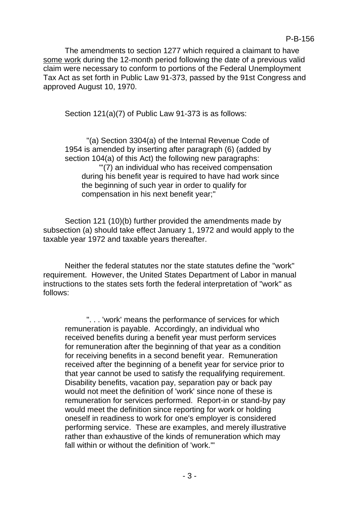The amendments to section 1277 which required a claimant to have some work during the 12-month period following the date of a previous valid claim were necessary to conform to portions of the Federal Unemployment Tax Act as set forth in Public Law 91-373, passed by the 91st Congress and approved August 10, 1970.

Section 121(a)(7) of Public Law 91-373 is as follows:

"(a) Section 3304(a) of the Internal Revenue Code of 1954 is amended by inserting after paragraph (6) (added by section 104(a) of this Act) the following new paragraphs: "'(7) an individual who has received compensation during his benefit year is required to have had work since the beginning of such year in order to qualify for compensation in his next benefit year;"

Section 121 (10)(b) further provided the amendments made by subsection (a) should take effect January 1, 1972 and would apply to the taxable year 1972 and taxable years thereafter.

Neither the federal statutes nor the state statutes define the "work" requirement. However, the United States Department of Labor in manual instructions to the states sets forth the federal interpretation of "work" as follows:

". . . 'work' means the performance of services for which remuneration is payable. Accordingly, an individual who received benefits during a benefit year must perform services for remuneration after the beginning of that year as a condition for receiving benefits in a second benefit year. Remuneration received after the beginning of a benefit year for service prior to that year cannot be used to satisfy the requalifying requirement. Disability benefits, vacation pay, separation pay or back pay would not meet the definition of 'work' since none of these is remuneration for services performed. Report-in or stand-by pay would meet the definition since reporting for work or holding oneself in readiness to work for one's employer is considered performing service. These are examples, and merely illustrative rather than exhaustive of the kinds of remuneration which may fall within or without the definition of 'work.'"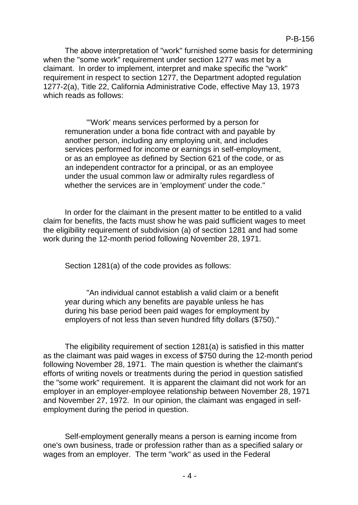The above interpretation of "work" furnished some basis for determining when the "some work" requirement under section 1277 was met by a claimant. In order to implement, interpret and make specific the "work" requirement in respect to section 1277, the Department adopted regulation 1277-2(a), Title 22, California Administrative Code, effective May 13, 1973 which reads as follows:

"'Work' means services performed by a person for remuneration under a bona fide contract with and payable by another person, including any employing unit, and includes services performed for income or earnings in self-employment, or as an employee as defined by Section 621 of the code, or as an independent contractor for a principal, or as an employee under the usual common law or admiralty rules regardless of whether the services are in 'employment' under the code."

In order for the claimant in the present matter to be entitled to a valid claim for benefits, the facts must show he was paid sufficient wages to meet the eligibility requirement of subdivision (a) of section 1281 and had some work during the 12-month period following November 28, 1971.

Section 1281(a) of the code provides as follows:

"An individual cannot establish a valid claim or a benefit year during which any benefits are payable unless he has during his base period been paid wages for employment by employers of not less than seven hundred fifty dollars (\$750)."

The eligibility requirement of section 1281(a) is satisfied in this matter as the claimant was paid wages in excess of \$750 during the 12-month period following November 28, 1971. The main question is whether the claimant's efforts of writing novels or treatments during the period in question satisfied the "some work" requirement. It is apparent the claimant did not work for an employer in an employer-employee relationship between November 28, 1971 and November 27, 1972. In our opinion, the claimant was engaged in selfemployment during the period in question.

Self-employment generally means a person is earning income from one's own business, trade or profession rather than as a specified salary or wages from an employer. The term "work" as used in the Federal